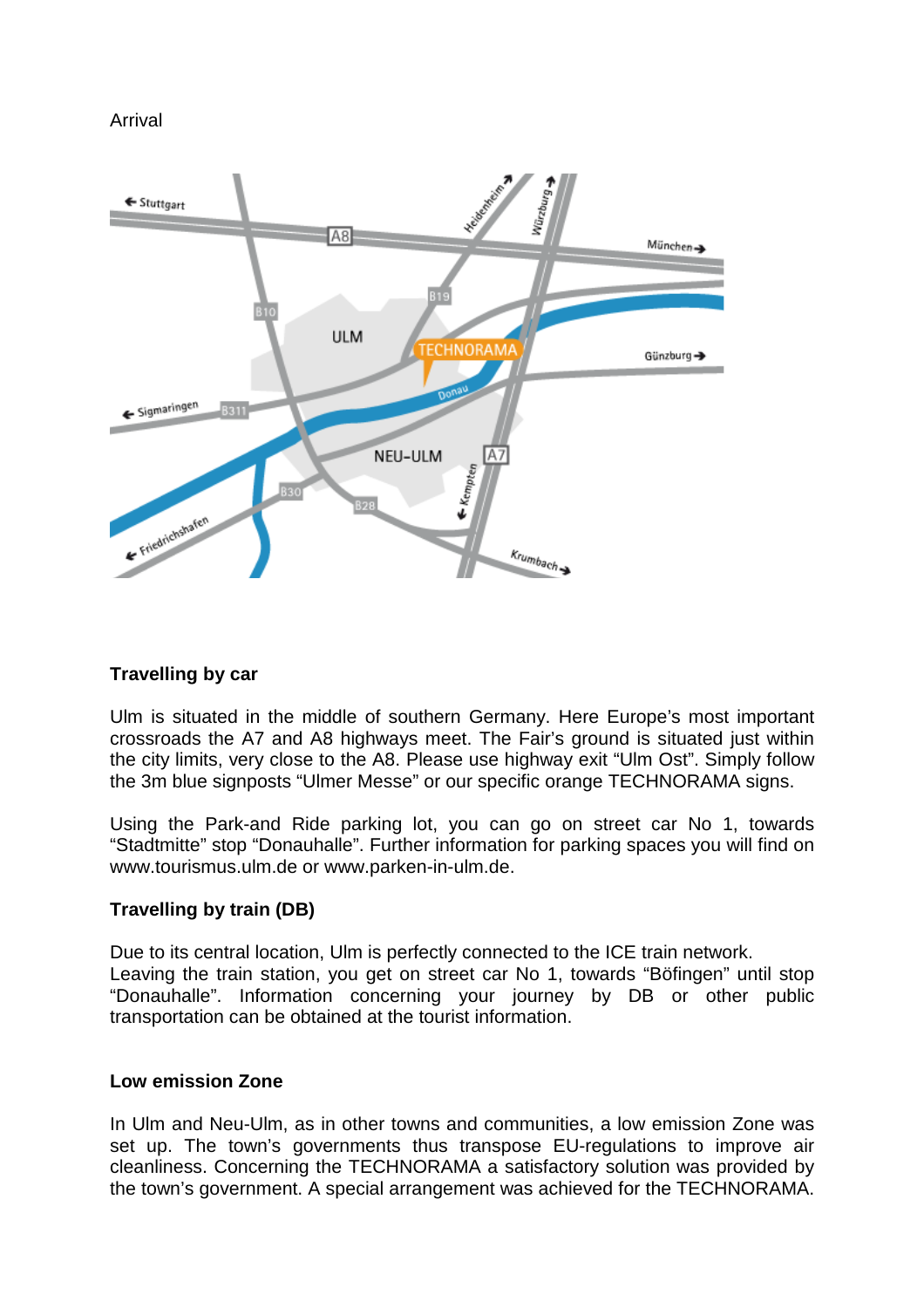Arrival



## **Travelling by car**

Ulm is situated in the middle of southern Germany. Here Europe's most important crossroads the A7 and A8 highways meet. The Fair's ground is situated just within the city limits, very close to the A8. Please use highway exit "Ulm Ost". Simply follow the 3m blue signposts "Ulmer Messe" or our specific orange TECHNORAMA signs.

Using the Park-and Ride parking lot, you can go on street car No 1, towards "Stadtmitte" stop "Donauhalle". Further information for parking spaces you will find on www.tourismus.ulm.de or www.parken-in-ulm.de.

## **Travelling by train (DB)**

Due to its central location, Ulm is perfectly connected to the ICE train network. Leaving the train station, you get on street car No 1, towards "Böfingen" until stop "Donauhalle". Information concerning your journey by DB or other public transportation can be obtained at the tourist information.

## **Low emission Zone**

In Ulm and Neu-Ulm, as in other towns and communities, a low emission Zone was set up. The town's governments thus transpose EU-regulations to improve air cleanliness. Concerning the TECHNORAMA a satisfactory solution was provided by the town's government. A special arrangement was achieved for the TECHNORAMA.